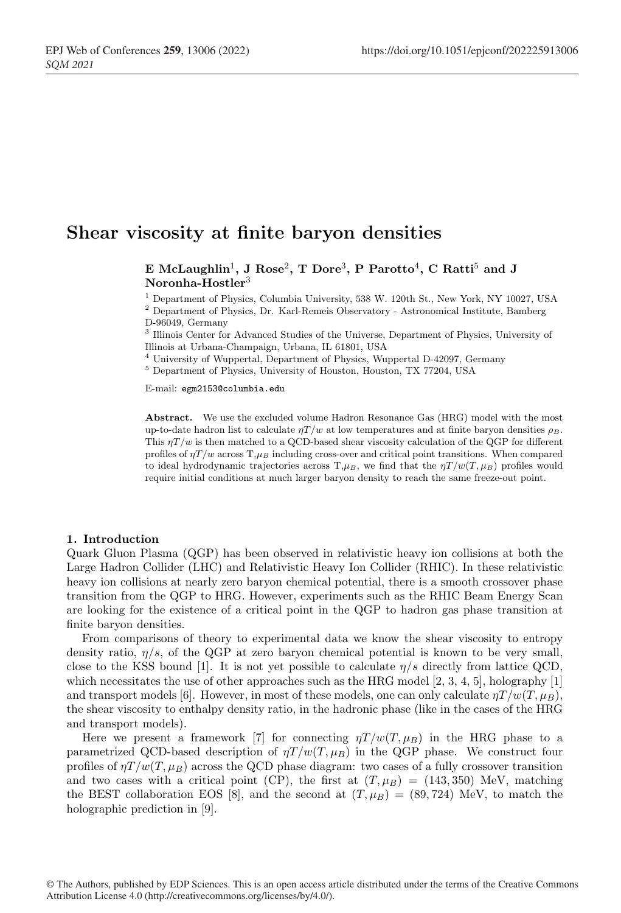# Shear viscosity at finite baryon densities

E McLaughlin<sup>1</sup>, J Rose<sup>2</sup>, T Dore<sup>3</sup>, P Parotto<sup>4</sup>, C Ratti<sup>5</sup> and J Noronha-Hostler<sup>3</sup>

<sup>1</sup> Department of Physics, Columbia University, 538 W. 120th St., New York, NY 10027, USA <sup>2</sup> Department of Physics, Dr. Karl-Remeis Observatory - Astronomical Institute, Bamberg D-96049, Germany

<sup>3</sup> Illinois Center for Advanced Studies of the Universe, Department of Physics, University of Illinois at Urbana-Champaign, Urbana, IL 61801, USA

<sup>4</sup> University of Wuppertal, Department of Physics, Wuppertal D-42097, Germany

<sup>5</sup> Department of Physics, University of Houston, Houston, TX 77204, USA

E-mail: egm2153@columbia.edu

Abstract. We use the excluded volume Hadron Resonance Gas (HRG) model with the most up-to-date hadron list to calculate  $\eta T/w$  at low temperatures and at finite baryon densities  $\rho_B$ . This  $\eta T/w$  is then matched to a QCD-based shear viscosity calculation of the QGP for different profiles of  $\eta T/w$  across  $T,\mu_B$  including cross-over and critical point transitions. When compared to ideal hydrodynamic trajectories across  $T, \mu_B$ , we find that the  $\eta T/w(T, \mu_B)$  profiles would require initial conditions at much larger baryon density to reach the same freeze-out point.

#### 1. Introduction

Quark Gluon Plasma (QGP) has been observed in relativistic heavy ion collisions at both the Large Hadron Collider (LHC) and Relativistic Heavy Ion Collider (RHIC). In these relativistic heavy ion collisions at nearly zero baryon chemical potential, there is a smooth crossover phase transition from the QGP to HRG. However, experiments such as the RHIC Beam Energy Scan are looking for the existence of a critical point in the QGP to hadron gas phase transition at finite baryon densities.

From comparisons of theory to experimental data we know the shear viscosity to entropy density ratio,  $\eta/s$ , of the QGP at zero baryon chemical potential is known to be very small, close to the KSS bound [1]. It is not yet possible to calculate  $\eta/s$  directly from lattice QCD, which necessitates the use of other approaches such as the HRG model  $[2, 3, 4, 5]$ , holography  $[1]$ and transport models [6]. However, in most of these models, one can only calculate  $\eta T/w(T,\mu_B)$ , the shear viscosity to enthalpy density ratio, in the hadronic phase (like in the cases of the HRG and transport models).

Here we present a framework [7] for connecting  $\eta T/w(T,\mu_B)$  in the HRG phase to a parametrized QCD-based description of  $\eta T/w(T,\mu_B)$  in the QGP phase. We construct four profiles of  $\eta T/w(T,\mu_B)$  across the QCD phase diagram: two cases of a fully crossover transition and two cases with a critical point (CP), the first at  $(T, \mu_B) = (143, 350)$  MeV, matching the BEST collaboration EOS [8], and the second at  $(T, \mu_B) = (89, 724)$  MeV, to match the holographic prediction in [9].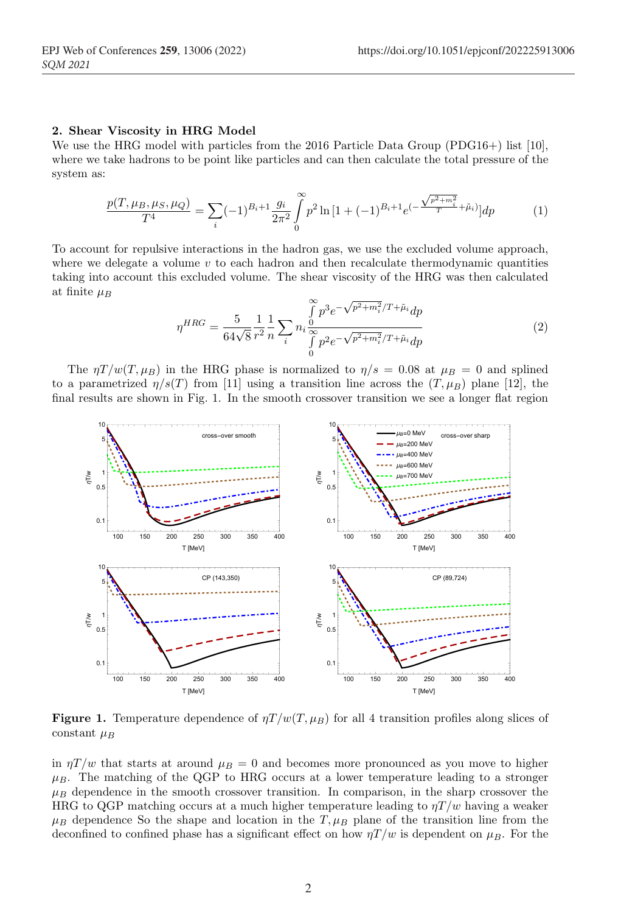## 2. Shear Viscosity in HRG Model

We use the HRG model with particles from the 2016 Particle Data Group  $(PDG16+)$  list  $[10]$ , where we take hadrons to be point like particles and can then calculate the total pressure of the system as:

$$
\frac{p(T, \mu_B, \mu_S, \mu_Q)}{T^4} = \sum_{i} (-1)^{B_i + 1} \frac{g_i}{2\pi^2} \int_0^\infty p^2 \ln\left[1 + (-1)^{B_i + 1} e^{-\frac{\sqrt{p^2 + m_i^2}}{T} + \tilde{\mu}_i}\right] dp \tag{1}
$$

To account for repulsive interactions in the hadron gas, we use the excluded volume approach, where we delegate a volume  $v$  to each hadron and then recalculate thermodynamic quantities taking into account this excluded volume. The shear viscosity of the HRG was then calculated at finite  $\mu_B$ 

$$
\eta^{HRG} = \frac{5}{64\sqrt{8}} \frac{1}{r^2} \frac{1}{n} \sum_{i} n_i \frac{\int_{0}^{\infty} p^3 e^{-\sqrt{p^2 + m_i^2}/T + \tilde{\mu}_i} dp}{\int_{0}^{\infty} p^2 e^{-\sqrt{p^2 + m_i^2}/T + \tilde{\mu}_i} dp}
$$
(2)

The  $\eta T/w(T,\mu_B)$  in the HRG phase is normalized to  $\eta/s = 0.08$  at  $\mu_B = 0$  and splined to a parametrized  $\eta/s(T)$  from [11] using a transition line across the  $(T,\mu_B)$  plane [12], the final results are shown in Fig. 1. In the smooth crossover transition we see a longer flat region



**Figure 1.** Temperature dependence of  $\eta T/w(T,\mu_B)$  for all 4 transition profiles along slices of constant  $\mu_B$ 

in  $\eta T/w$  that starts at around  $\mu_B = 0$  and becomes more pronounced as you move to higher  $\mu_B$ . The matching of the QGP to HRG occurs at a lower temperature leading to a stronger  $\mu_B$  dependence in the smooth crossover transition. In comparison, in the sharp crossover the HRG to QGP matching occurs at a much higher temperature leading to  $\eta T/w$  having a weaker  $\mu_B$  dependence So the shape and location in the T,  $\mu_B$  plane of the transition line from the deconfined to confined phase has a significant effect on how  $\eta T/w$  is dependent on  $\mu_B$ . For the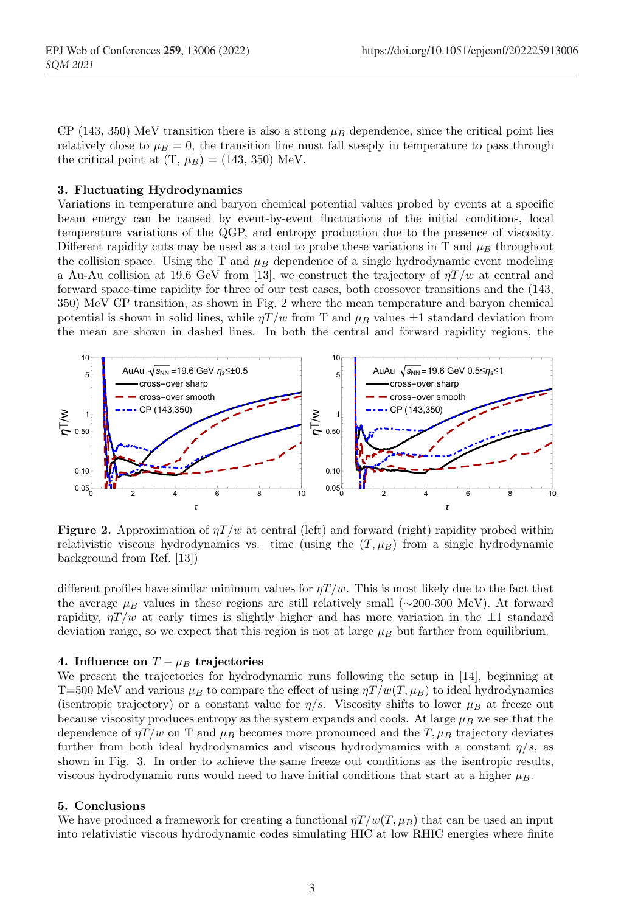CP (143, 350) MeV transition there is also a strong  $\mu_B$  dependence, since the critical point lies relatively close to  $\mu_B = 0$ , the transition line must fall steeply in temperature to pass through the critical point at  $(T, \mu_B) = (143, 350)$  MeV.

## 3. Fluctuating Hydrodynamics

Variations in temperature and baryon chemical potential values probed by events at a specific beam energy can be caused by event-by-event fluctuations of the initial conditions, local temperature variations of the QGP, and entropy production due to the presence of viscosity. Different rapidity cuts may be used as a tool to probe these variations in T and  $\mu_B$  throughout the collision space. Using the T and  $\mu_B$  dependence of a single hydrodynamic event modeling a Au-Au collision at 19.6 GeV from [13], we construct the trajectory of  $\eta T/w$  at central and forward space-time rapidity for three of our test cases, both crossover transitions and the (143, 350) MeV CP transition, as shown in Fig. 2 where the mean temperature and baryon chemical potential is shown in solid lines, while  $\eta T/w$  from T and  $\mu_B$  values  $\pm 1$  standard deviation from the mean are shown in dashed lines. In both the central and forward rapidity regions, the



**Figure 2.** Approximation of  $\eta T/w$  at central (left) and forward (right) rapidity probed within relativistic viscous hydrodynamics vs. time (using the  $(T, \mu_B)$ ) from a single hydrodynamic background from Ref. [13])

different profiles have similar minimum values for  $\eta T/w$ . This is most likely due to the fact that the average  $\mu_B$  values in these regions are still relatively small (∼200-300 MeV). At forward rapidity,  $\eta T/w$  at early times is slightly higher and has more variation in the  $\pm 1$  standard deviation range, so we expect that this region is not at large  $\mu_B$  but farther from equilibrium.

## 4. Influence on  $T - \mu_B$  trajectories

We present the trajectories for hydrodynamic runs following the setup in [14], beginning at T=500 MeV and various  $\mu_B$  to compare the effect of using  $\eta T/w(T,\mu_B)$  to ideal hydrodynamics (isentropic trajectory) or a constant value for  $\eta/s$ . Viscosity shifts to lower  $\mu_B$  at freeze out because viscosity produces entropy as the system expands and cools. At large  $\mu_B$  we see that the dependence of  $\eta T/w$  on T and  $\mu_B$  becomes more pronounced and the T,  $\mu_B$  trajectory deviates further from both ideal hydrodynamics and viscous hydrodynamics with a constant  $\eta/s$ , as shown in Fig. 3. In order to achieve the same freeze out conditions as the isentropic results, viscous hydrodynamic runs would need to have initial conditions that start at a higher  $\mu_B$ .

#### 5. Conclusions

We have produced a framework for creating a functional  $\eta T/w(T,\mu_B)$  that can be used an input into relativistic viscous hydrodynamic codes simulating HIC at low RHIC energies where finite